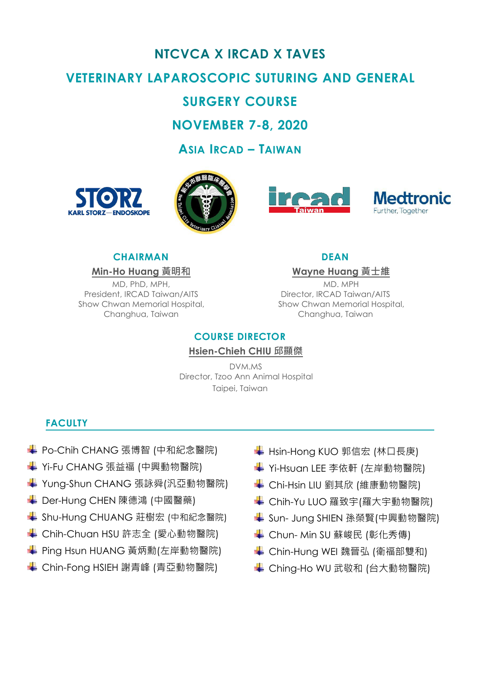# **NTCVCA X IRCAD X TAVES VETERINARY LAPAROSCOPIC SUTURING AND GENERAL**

## **SURGERY COURSE**

**NOVEMBER 7-8, 2020**

**ASIA IRCAD – TAIWAN**









## **CHAIRMAN DEAN**

MD, PhD, MPH, President, IRCAD Taiwan/AITS Show Chwan Memorial Hospital, Changhua, Taiwan

**Min-Ho Huang 黃明和 Wayne Huang 黃士維**

MD. MPH Director, IRCAD Taiwan/AITS Show Chwan Memorial Hospital, Changhua, Taiwan

## **COURSE DIRECTOR**

## **Hsien-Chieh CHIU 邱顯傑**

DVM.MS Director, Tzoo Ann Animal Hospital Taipei, Taiwan

## **FACULTY**

- **↓ Po-Chih CHANG 張博智 (中和紀念醫院)**
- **↓ Yi-Fu CHANG 張益福 (中興動物醫院)**
- **↓ Yung-Shun CHANG** 張詠舜(汎亞動物醫院)
- **↓ Der-Hung CHEN 陳德鴻 (中國醫藥)**
- ◆ Shu-Hung CHUANG 莊樹宏 (中和紀念醫院)
- **↓ Chih-Chuan HSU 許志全 (愛心動物醫院)**
- ◆ Ping Hsun HUANG 黃炳勳(左岸動物醫院)
- **↓ Chin-Fong HSIEH 謝青峰 (青亞動物醫院)**
- **↓ Hsin-Hong KUO 郭信宏 (林口長庚)**
- ◆ Yi-Hsuan LEE 李依軒 (左岸動物醫院)
- **↓ Chi-Hsin LIU 劉其欣 (維康動物醫院)**
- **↓ Chih-Yu LUO 羅致宇(羅大宇動物醫院)**
- Sun- Jung SHIEN 孫榮賢(中興動物醫院)
- **↓ Chun- Min SU 蘇峻民 (彰化秀傳)**
- **↓ Chin-Hung WEI 魏晉弘 (衛福部雙和)**
- ◆ Ching-Ho WU 武敬和 (台大動物醫院)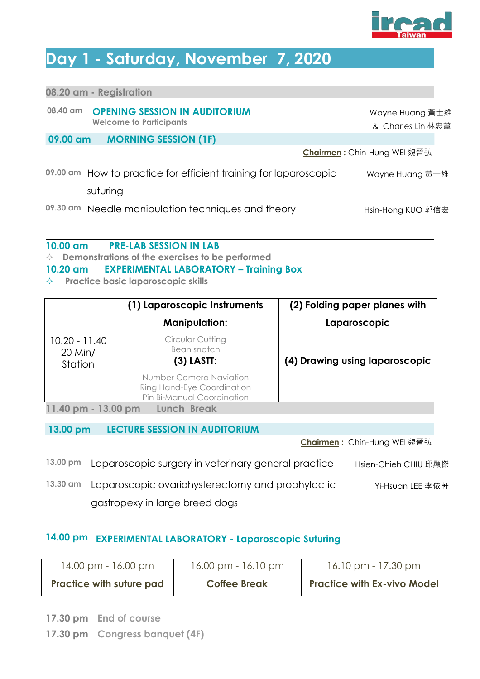

## **Day 1 - Saturday, November 7, 2020**

| <b>OPENING SESSION IN AUDITORIUM</b><br>Wayne Huang 黃士維<br><b>Welcome to Participants</b><br>& Charles Lin 林忠葦<br><b>MORNING SESSION (1F)</b><br>09.00 am<br>Chairmen: Chin-Hung WEI 魏晉弘<br>How to practice for efficient training for laparoscopic<br>Wayne Huang 黃士維<br>suturing |          | 08.20 am - Registration |  |  |
|------------------------------------------------------------------------------------------------------------------------------------------------------------------------------------------------------------------------------------------------------------------------------------|----------|-------------------------|--|--|
|                                                                                                                                                                                                                                                                                    | 08.40 am |                         |  |  |
|                                                                                                                                                                                                                                                                                    |          |                         |  |  |
|                                                                                                                                                                                                                                                                                    | 09.00 am |                         |  |  |

09.30 am Needle manipulation techniques and theory **Health Hong KUO 郭信宏** 

### **10.00 am PRE-LAB SESSION IN LAB**

**Demonstrations of the exercises to be performed**

### **10.20 am EXPERIMENTAL LABORATORY – Training Box**

**Practice basic laparoscopic skills**

|                              | (1) Laparoscopic Instruments                                                        | (2) Folding paper planes with  |
|------------------------------|-------------------------------------------------------------------------------------|--------------------------------|
|                              | <b>Manipulation:</b>                                                                | Laparoscopic                   |
| $10.20 - 11.40$<br>$20$ Min/ | Circular Cutting<br>Bean snatch                                                     |                                |
| Station                      | $(3)$ LASTT:                                                                        | (4) Drawing using laparoscopic |
|                              | Number Camera Naviation<br>Ring Hand-Eye Coordination<br>Pin Bi-Manual Coordination |                                |
| 11.40 pm - 13.00 pm          | Lunch Break                                                                         |                                |

## **13.00 pm LECTURE SESSION IN AUDITORIUM**

**Chairmen :** Chin-Hung WEI 魏晉弘

| 13.00 pm           | Laparoscopic surgery in veterinary general practice | Hsien-Chieh CHIU 邱顯傑 |
|--------------------|-----------------------------------------------------|----------------------|
| $13.30 \text{ cm}$ | Laparoscopic ovariohysterectomy and prophylactic    | Yi-Hsuan LEE 李依軒     |
|                    | gastropexy in large breed dogs                      |                      |

## **14.00 pm EXPERIMENTAL LABORATORY - Laparoscopic Suturing**

| 14.00 pm - 16.00 pm             | 16.00 pm - 16.10 pm | $16.10 \text{ pm} - 17.30 \text{ pm}$ |
|---------------------------------|---------------------|---------------------------------------|
| <b>Practice with suture pad</b> | <b>Coffee Break</b> | <b>Practice with Ex-vivo Model</b>    |
|                                 |                     |                                       |

**17.30 pm End of course**

**<sup>17.30</sup> pm Congress banquet (4F)**